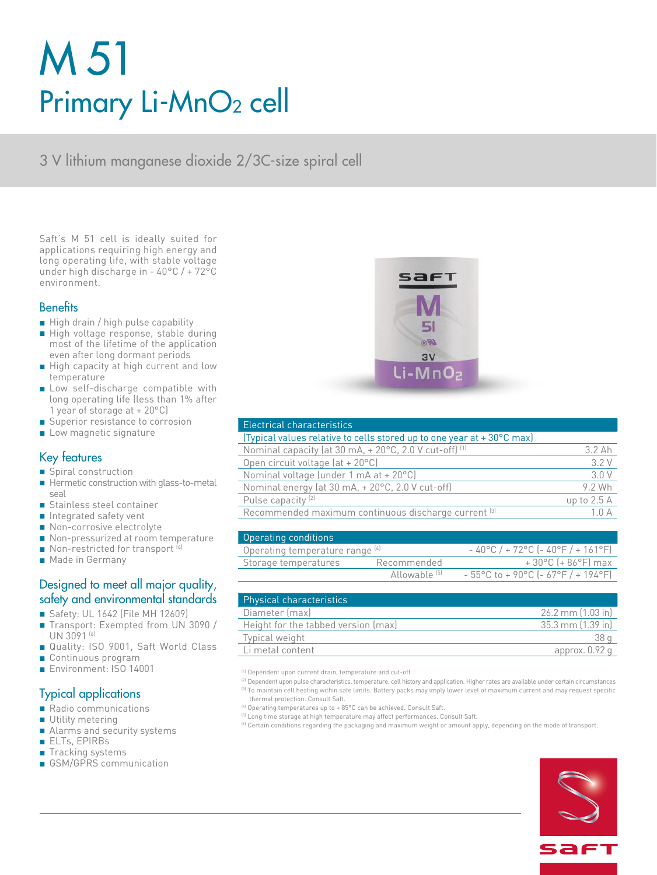# M 51 Primary Li-MnO<sub>2</sub> cell

3 V lithium manganese dioxide 2/3C-size spiral cell

Saft's M 51 cell is ideally suited for applications requiring high energy and long operating life, with stable voltage under high discharge in - 40°C / + 72°C environment.

### **Benefits**

- High drain / high pulse capability
- High voltage response, stable during most of the lifetime of the application even after long dormant periods
- High capacity at high current and low temperature
- Low self-discharge compatible with long operating life (less than 1% after 1 year of storage at + 20°C)
- Superior resistance to corrosion
- Low magnetic signature

## Key features

- Spiral construction
- Hermetic construction with glass-to-metal seal
- Stainless steel container
- Integrated safety vent
- Non-corrosive electrolyte
- Non-pressurized at room temperature
- $\blacksquare$  Non-restricted for transport  $^{(6)}$
- Made in Germany

# Designed to meet all major quality, safety and environmental standards

- Safety: UL 1642 (File MH 12609)
- Transport: Exempted from UN 3090 / UN 3091<sup>(6)</sup>
- Quality: ISO 9001, Saft World Class
- Continuous program
- Environment: ISO 14001

# Typical applications

- Radio communications
- Utility metering
- Alarms and security systems
- ELTs, EPIRBs
- Tracking systems
- GSM/GPRS communication



| Electrical characteristics                                                                                                                                                                                                     |
|--------------------------------------------------------------------------------------------------------------------------------------------------------------------------------------------------------------------------------|
| . (The continued a continued with the continued of the continued of the continued of the continued of the continued of the continued of the continued of the continued of the continued of the continued of the continued of t |

| (Typical values relative to cells stored up to one year at +30°C max)       |              |
|-----------------------------------------------------------------------------|--------------|
| Nominal capacity (at 30 mA, $+ 20^{\circ}$ C, 2.0 V cut-off) <sup>(1)</sup> | $3.2$ Ah     |
| Open circuit voltage $(at + 20^{\circ}C)$                                   | 3.2 V        |
| Nominal voltage (under 1 mA at + 20°C)                                      | 3.0 V        |
| Nominal energy (at 30 mA, + 20°C, 2.0 V cut-off)                            | 9.2 Wh       |
| Pulse capacity <sup>(2)</sup>                                               | up to $2.5A$ |
| Recommended maximum continuous discharge current [3]                        | 1.0A         |
|                                                                             |              |

| Operating conditions            |                          |                                                 |
|---------------------------------|--------------------------|-------------------------------------------------|
| Operating temperature range [4] |                          | $-40^{\circ}$ C / + 72°C (-40°F / + 161°F)      |
| Storage temperatures            | Recommended              | $+30^{\circ}$ C (+86 $^{\circ}$ F) max          |
|                                 | Allowable <sup>[5]</sup> | $-55^{\circ}$ C to + 90 °C (- 67 °F / + 194 °F) |

| <b>Physical characteristics</b>     |                      |
|-------------------------------------|----------------------|
| Diameter (max)                      | $26.2$ mm $(1.03$ in |
| Height for the tabbed version (max) | 35.3 mm (1.39 in)    |
| Typical weight                      | 38 a                 |
| Li metal content                    | approx. $0.92$ q     |

(1) Dependent upon current drain, temperature and cut-off.

<sup>(2)</sup> Dependent upon pulse characteristics, temperature, cell history and application. Higher rates are available under certain circumstances (3) To maintain cell heating within safe limits. Battery packs may imply lower level of maximum current and may request specific thermal protection. Consult Saft.

- <sup>(4)</sup> Operating temperatures up to + 85°C can be achieved. Consult Saft.
- <sup>(5)</sup> Long time storage at high temperature may affect performances. Consult Saft.
- (6) Certain conditions regarding the packaging and maximum weight or amount apply, depending on the mode of transport.